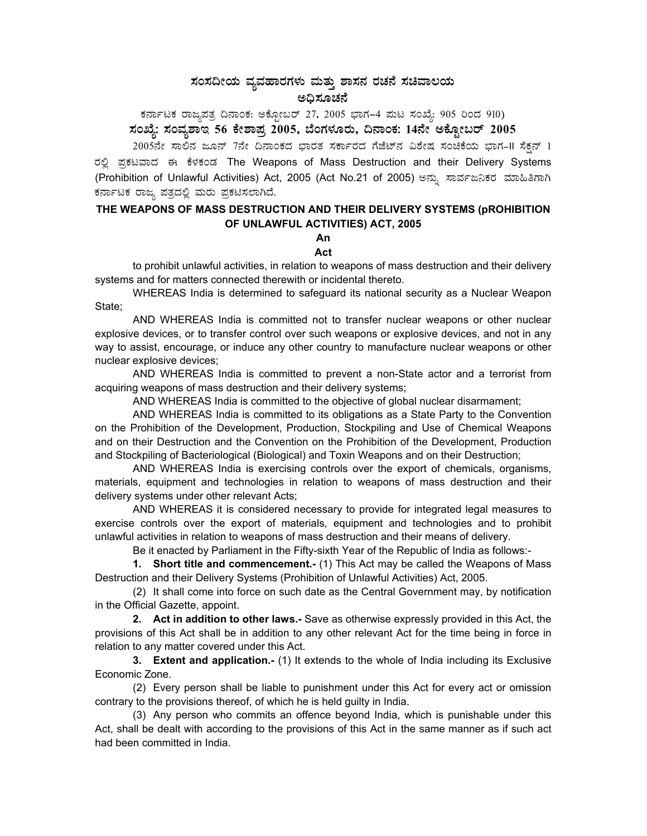## $\,$ ಸಂಸದೀಯ ವ್ಯವಹಾರಗಳು ಮತ್ತು ಶಾಸನ ರಚನೆ ಸಚಿವಾಲಯ ಅದಿಸೂಚನೆ

ಕರ್ನಾಟಕ ರಾಜ್ಯಪತ್ರ ದಿನಾಂಕ: ಅಕ್ಟೋಬರ್ 27, 2005 ಭಾಗ–4 ಮಟ ಸಂಖ್ಯೆ: 905 ರಿಂದ 910) ಸಂಖ್ಯೆ: ಸಂವ್ಯಶಾಇ 56 ಕೇಶಾಪ್ರ 2005, ಬೆಂಗಳೂರು, ದಿನಾಂಕ: 14ನೇ ಅಕ್ಟೋಬರ್ 2005 <sub>-</sub>

 $2005$ ನೇ ಸಾಲಿನ ಜೂನ್ 7ನೇ ದಿನಾಂಕದ ಭಾರತ ಸರ್ಕಾರದ ಗೆಜೆಟ್ನ ವಿಶೇಷ ಸಂಚಿಕೆಯ ಭಾಗ–II ಸೆಕ್ಷನ್ 1 ರಲ್ಲಿ ಪ್ರಕಟವಾದ ಈ ಕೆಳಕಂಡ The Weapons of Mass Destruction and their Delivery Systems (Prohibition of Unlawful Activities) Act, 2005 (Act No.21 of 2005) ಅನ್ನು ಸಾರ್ವಜನಿಕರ ಮಾಹಿತಿಗಾಗಿ ಕರ್ನಾಟಕ ರಾಜ್ಯ ಪತ್ರದಲ್ಲಿ ಮರು ಪ್ರಕಟಿಸಲಾಗಿದೆ.

## **THE WEAPONS OF MASS DESTRUCTION AND THEIR DELIVERY SYSTEMS (pROHIBITION OF UNLAWFUL ACTIVITIES) ACT, 2005**

## **An**

## **Act**

to prohibit unlawful activities, in relation to weapons of mass destruction and their delivery systems and for matters connected therewith or incidental thereto.

WHEREAS India is determined to safeguard its national security as a Nuclear Weapon State;

AND WHEREAS India is committed not to transfer nuclear weapons or other nuclear explosive devices, or to transfer control over such weapons or explosive devices, and not in any way to assist, encourage, or induce any other country to manufacture nuclear weapons or other nuclear explosive devices;

AND WHEREAS India is committed to prevent a non-State actor and a terrorist from acquiring weapons of mass destruction and their delivery systems;

AND WHEREAS India is committed to the objective of global nuclear disarmament;

AND WHEREAS India is committed to its obligations as a State Party to the Convention on the Prohibition of the Development, Production, Stockpiling and Use of Chemical Weapons and on their Destruction and the Convention on the Prohibition of the Development, Production and Stockpiling of Bacteriological (Biological) and Toxin Weapons and on their Destruction;

AND WHEREAS India is exercising controls over the export of chemicals, organisms, materials, equipment and technologies in relation to weapons of mass destruction and their delivery systems under other relevant Acts;

AND WHEREAS it is considered necessary to provide for integrated legal measures to exercise controls over the export of materials, equipment and technologies and to prohibit unlawful activities in relation to weapons of mass destruction and their means of delivery.

Be it enacted by Parliament in the Fifty-sixth Year of the Republic of India as follows:-

**1. Short title and commencement.-** (1) This Act may be called the Weapons of Mass Destruction and their Delivery Systems (Prohibition of Unlawful Activities) Act, 2005.

(2) It shall come into force on such date as the Central Government may, by notification in the Official Gazette, appoint.

**2. Act in addition to other laws.-** Save as otherwise expressly provided in this Act, the provisions of this Act shall be in addition to any other relevant Act for the time being in force in relation to any matter covered under this Act.

**3. Extent and application.-** (1) It extends to the whole of India including its Exclusive Economic Zone.

(2) Every person shall be liable to punishment under this Act for every act or omission contrary to the provisions thereof, of which he is held guilty in India.

(3) Any person who commits an offence beyond India, which is punishable under this Act, shall be dealt with according to the provisions of this Act in the same manner as if such act had been committed in India.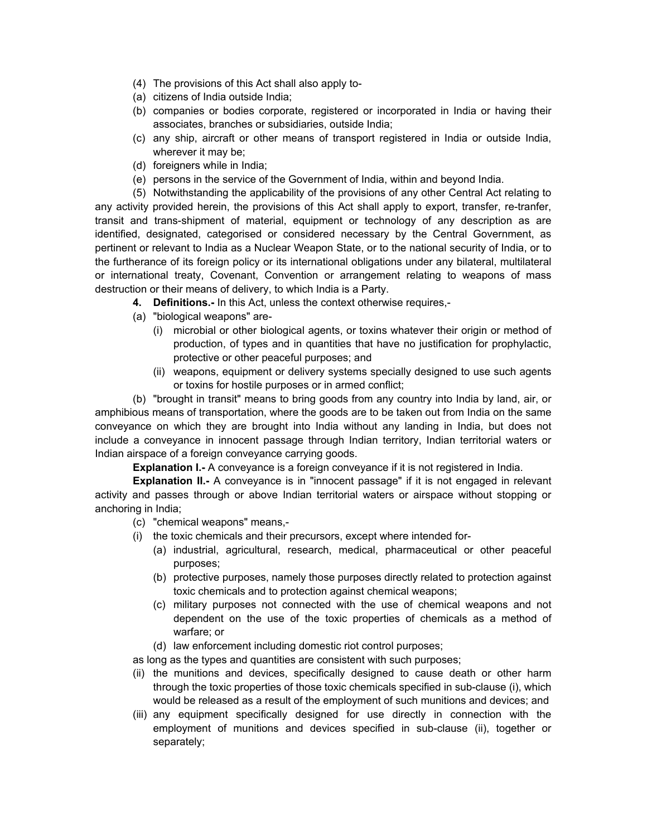- (4) The provisions of this Act shall also apply to-
- (a) citizens of India outside India;
- (b) companies or bodies corporate, registered or incorporated in India or having their associates, branches or subsidiaries, outside India;
- (c) any ship, aircraft or other means of transport registered in India or outside India, wherever it may be;
- (d) foreigners while in India;
- (e) persons in the service of the Government of India, within and beyond India.

(5) Notwithstanding the applicability of the provisions of any other Central Act relating to any activity provided herein, the provisions of this Act shall apply to export, transfer, re-tranfer, transit and trans-shipment of material, equipment or technology of any description as are identified, designated, categorised or considered necessary by the Central Government, as pertinent or relevant to India as a Nuclear Weapon State, or to the national security of India, or to the furtherance of its foreign policy or its international obligations under any bilateral, multilateral or international treaty, Covenant, Convention or arrangement relating to weapons of mass destruction or their means of delivery, to which India is a Party.

- **4. Definitions.-** In this Act, unless the context otherwise requires,-
- (a) "biological weapons" are-
	- (i) microbial or other biological agents, or toxins whatever their origin or method of production, of types and in quantities that have no justification for prophylactic, protective or other peaceful purposes; and
	- (ii) weapons, equipment or delivery systems specially designed to use such agents or toxins for hostile purposes or in armed conflict;

(b) "brought in transit" means to bring goods from any country into India by land, air, or amphibious means of transportation, where the goods are to be taken out from India on the same conveyance on which they are brought into India without any landing in India, but does not include a conveyance in innocent passage through Indian territory, Indian territorial waters or Indian airspace of a foreign conveyance carrying goods.

**Explanation I.-** A conveyance is a foreign conveyance if it is not registered in India.

**Explanation II.-** A conveyance is in "innocent passage" if it is not engaged in relevant activity and passes through or above Indian territorial waters or airspace without stopping or anchoring in India;

- (c) "chemical weapons" means,-
- (i) the toxic chemicals and their precursors, except where intended for-
	- (a) industrial, agricultural, research, medical, pharmaceutical or other peaceful purposes;
	- (b) protective purposes, namely those purposes directly related to protection against toxic chemicals and to protection against chemical weapons;
	- (c) military purposes not connected with the use of chemical weapons and not dependent on the use of the toxic properties of chemicals as a method of warfare; or
	- (d) law enforcement including domestic riot control purposes;
- as long as the types and quantities are consistent with such purposes;
- (ii) the munitions and devices, specifically designed to cause death or other harm through the toxic properties of those toxic chemicals specified in sub-clause (i), which would be released as a result of the employment of such munitions and devices; and
- (iii) any equipment specifically designed for use directly in connection with the employment of munitions and devices specified in sub-clause (ii), together or separately;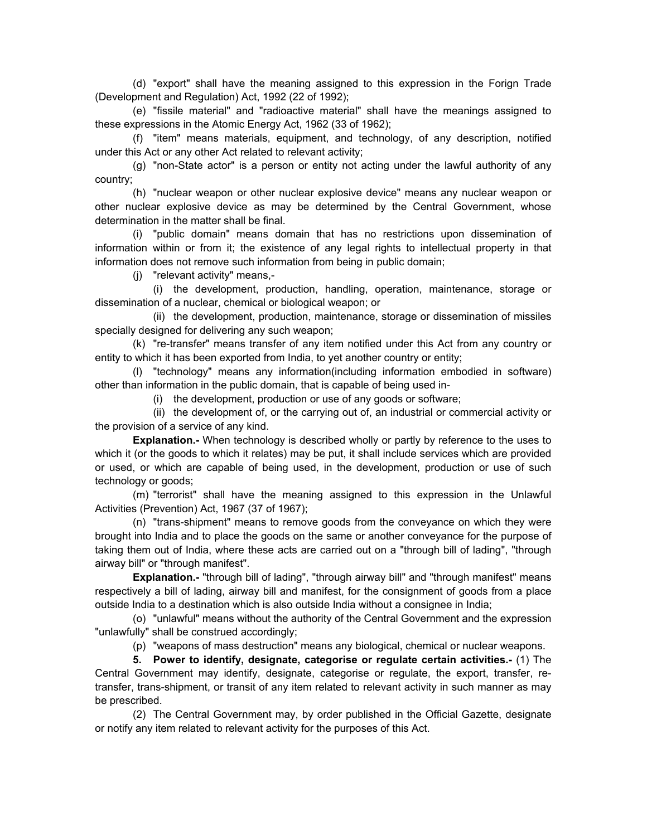(d) "export" shall have the meaning assigned to this expression in the Forign Trade (Development and Regulation) Act, 1992 (22 of 1992);

(e) "fissile material" and "radioactive material" shall have the meanings assigned to these expressions in the Atomic Energy Act, 1962 (33 of 1962);

(f) "item" means materials, equipment, and technology, of any description, notified under this Act or any other Act related to relevant activity;

(g) "non-State actor" is a person or entity not acting under the lawful authority of any country;

(h) "nuclear weapon or other nuclear explosive device" means any nuclear weapon or other nuclear explosive device as may be determined by the Central Government, whose determination in the matter shall be final.

(i) "public domain" means domain that has no restrictions upon dissemination of information within or from it; the existence of any legal rights to intellectual property in that information does not remove such information from being in public domain;

(j) "relevant activity" means,-

(i) the development, production, handling, operation, maintenance, storage or dissemination of a nuclear, chemical or biological weapon; or

(ii) the development, production, maintenance, storage or dissemination of missiles specially designed for delivering any such weapon;

(k) "re-transfer" means transfer of any item notified under this Act from any country or entity to which it has been exported from India, to yet another country or entity;

(l) "technology" means any information(including information embodied in software) other than information in the public domain, that is capable of being used in-

(i) the development, production or use of any goods or software;

(ii) the development of, or the carrying out of, an industrial or commercial activity or the provision of a service of any kind.

**Explanation.-** When technology is described wholly or partly by reference to the uses to which it (or the goods to which it relates) may be put, it shall include services which are provided or used, or which are capable of being used, in the development, production or use of such technology or goods;

(m) "terrorist" shall have the meaning assigned to this expression in the Unlawful Activities (Prevention) Act, 1967 (37 of 1967);

(n) "trans-shipment" means to remove goods from the conveyance on which they were brought into India and to place the goods on the same or another conveyance for the purpose of taking them out of India, where these acts are carried out on a "through bill of lading", "through airway bill" or "through manifest".

**Explanation.-** "through bill of lading", "through airway bill" and "through manifest" means respectively a bill of lading, airway bill and manifest, for the consignment of goods from a place outside India to a destination which is also outside India without a consignee in India;

(o) "unlawful" means without the authority of the Central Government and the expression "unlawfully" shall be construed accordingly;

(p) "weapons of mass destruction" means any biological, chemical or nuclear weapons.

**5. Power to identify, designate, categorise or regulate certain activities.-** (1) The Central Government may identify, designate, categorise or regulate, the export, transfer, retransfer, trans-shipment, or transit of any item related to relevant activity in such manner as may be prescribed.

(2) The Central Government may, by order published in the Official Gazette, designate or notify any item related to relevant activity for the purposes of this Act.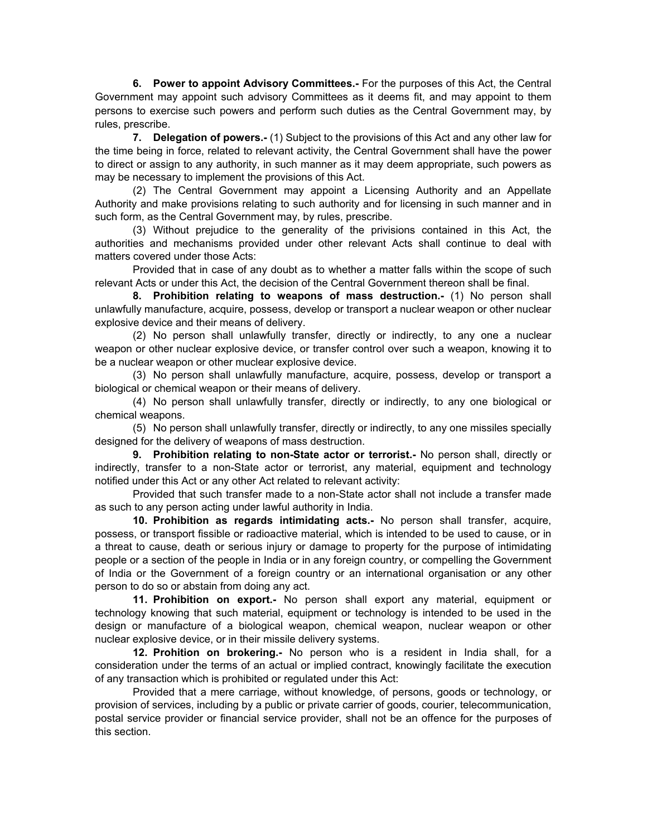**6. Power to appoint Advisory Committees.-** For the purposes of this Act, the Central Government may appoint such advisory Committees as it deems fit, and may appoint to them persons to exercise such powers and perform such duties as the Central Government may, by rules, prescribe.

**7. Delegation of powers.-** (1) Subject to the provisions of this Act and any other law for the time being in force, related to relevant activity, the Central Government shall have the power to direct or assign to any authority, in such manner as it may deem appropriate, such powers as may be necessary to implement the provisions of this Act.

(2) The Central Government may appoint a Licensing Authority and an Appellate Authority and make provisions relating to such authority and for licensing in such manner and in such form, as the Central Government may, by rules, prescribe.

(3) Without prejudice to the generality of the privisions contained in this Act, the authorities and mechanisms provided under other relevant Acts shall continue to deal with matters covered under those Acts:

Provided that in case of any doubt as to whether a matter falls within the scope of such relevant Acts or under this Act, the decision of the Central Government thereon shall be final.

**8. Prohibition relating to weapons of mass destruction.-** (1) No person shall unlawfully manufacture, acquire, possess, develop or transport a nuclear weapon or other nuclear explosive device and their means of delivery.

(2) No person shall unlawfully transfer, directly or indirectly, to any one a nuclear weapon or other nuclear explosive device, or transfer control over such a weapon, knowing it to be a nuclear weapon or other muclear explosive device.

(3) No person shall unlawfully manufacture, acquire, possess, develop or transport a biological or chemical weapon or their means of delivery.

(4) No person shall unlawfully transfer, directly or indirectly, to any one biological or chemical weapons.

(5) No person shall unlawfully transfer, directly or indirectly, to any one missiles specially designed for the delivery of weapons of mass destruction.

**9. Prohibition relating to non-State actor or terrorist.-** No person shall, directly or indirectly, transfer to a non-State actor or terrorist, any material, equipment and technology notified under this Act or any other Act related to relevant activity:

Provided that such transfer made to a non-State actor shall not include a transfer made as such to any person acting under lawful authority in India.

**10. Prohibition as regards intimidating acts.-** No person shall transfer, acquire, possess, or transport fissible or radioactive material, which is intended to be used to cause, or in a threat to cause, death or serious injury or damage to property for the purpose of intimidating people or a section of the people in India or in any foreign country, or compelling the Government of India or the Government of a foreign country or an international organisation or any other person to do so or abstain from doing any act.

**11. Prohibition on export.-** No person shall export any material, equipment or technology knowing that such material, equipment or technology is intended to be used in the design or manufacture of a biological weapon, chemical weapon, nuclear weapon or other nuclear explosive device, or in their missile delivery systems.

**12. Prohition on brokering.-** No person who is a resident in India shall, for a consideration under the terms of an actual or implied contract, knowingly facilitate the execution of any transaction which is prohibited or regulated under this Act:

Provided that a mere carriage, without knowledge, of persons, goods or technology, or provision of services, including by a public or private carrier of goods, courier, telecommunication, postal service provider or financial service provider, shall not be an offence for the purposes of this section.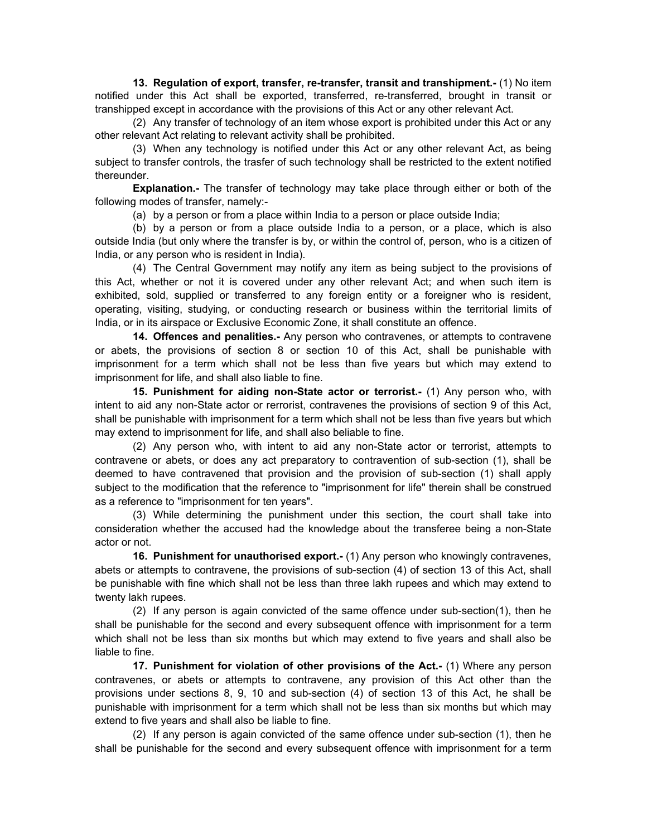**13. Regulation of export, transfer, re-transfer, transit and transhipment.-** (1) No item notified under this Act shall be exported, transferred, re-transferred, brought in transit or transhipped except in accordance with the provisions of this Act or any other relevant Act.

(2) Any transfer of technology of an item whose export is prohibited under this Act or any other relevant Act relating to relevant activity shall be prohibited.

(3) When any technology is notified under this Act or any other relevant Act, as being subject to transfer controls, the trasfer of such technology shall be restricted to the extent notified thereunder.

**Explanation.-** The transfer of technology may take place through either or both of the following modes of transfer, namely:-

(a) by a person or from a place within India to a person or place outside India;

(b) by a person or from a place outside India to a person, or a place, which is also outside India (but only where the transfer is by, or within the control of, person, who is a citizen of India, or any person who is resident in India).

(4) The Central Government may notify any item as being subject to the provisions of this Act, whether or not it is covered under any other relevant Act; and when such item is exhibited, sold, supplied or transferred to any foreign entity or a foreigner who is resident, operating, visiting, studying, or conducting research or business within the territorial limits of India, or in its airspace or Exclusive Economic Zone, it shall constitute an offence.

**14. Offences and penalities.-** Any person who contravenes, or attempts to contravene or abets, the provisions of section 8 or section 10 of this Act, shall be punishable with imprisonment for a term which shall not be less than five years but which may extend to imprisonment for life, and shall also liable to fine.

**15. Punishment for aiding non-State actor or terrorist.-** (1) Any person who, with intent to aid any non-State actor or rerrorist, contravenes the provisions of section 9 of this Act, shall be punishable with imprisonment for a term which shall not be less than five years but which may extend to imprisonment for life, and shall also beliable to fine.

(2) Any person who, with intent to aid any non-State actor or terrorist, attempts to contravene or abets, or does any act preparatory to contravention of sub-section (1), shall be deemed to have contravened that provision and the provision of sub-section (1) shall apply subject to the modification that the reference to "imprisonment for life" therein shall be construed as a reference to "imprisonment for ten years".

(3) While determining the punishment under this section, the court shall take into consideration whether the accused had the knowledge about the transferee being a non-State actor or not.

**16. Punishment for unauthorised export.-** (1) Any person who knowingly contravenes, abets or attempts to contravene, the provisions of sub-section (4) of section 13 of this Act, shall be punishable with fine which shall not be less than three lakh rupees and which may extend to twenty lakh rupees.

(2) If any person is again convicted of the same offence under sub-section(1), then he shall be punishable for the second and every subsequent offence with imprisonment for a term which shall not be less than six months but which may extend to five years and shall also be liable to fine.

**17. Punishment for violation of other provisions of the Act.-** (1) Where any person contravenes, or abets or attempts to contravene, any provision of this Act other than the provisions under sections 8, 9, 10 and sub-section (4) of section 13 of this Act, he shall be punishable with imprisonment for a term which shall not be less than six months but which may extend to five years and shall also be liable to fine.

(2) If any person is again convicted of the same offence under sub-section (1), then he shall be punishable for the second and every subsequent offence with imprisonment for a term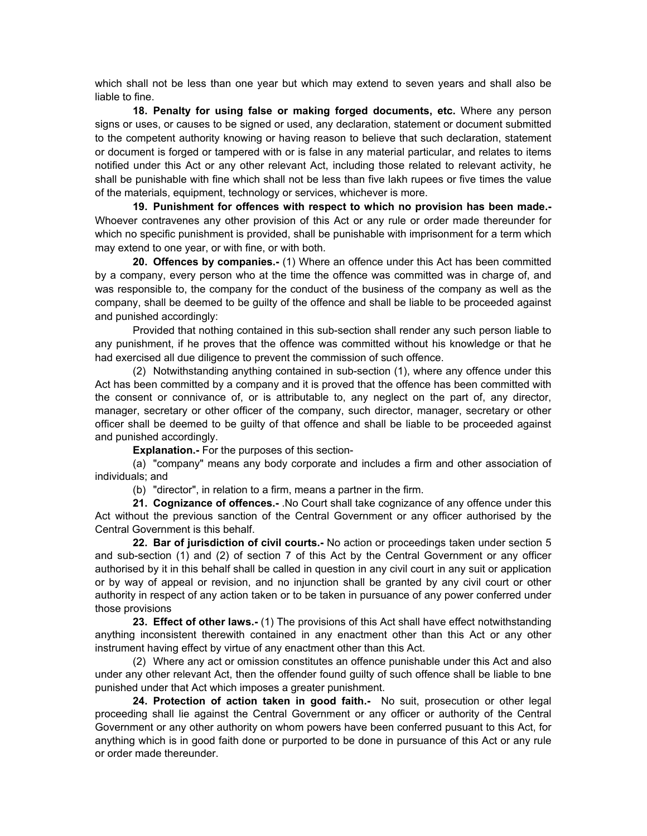which shall not be less than one year but which may extend to seven years and shall also be liable to fine.

**18. Penalty for using false or making forged documents, etc.** Where any person signs or uses, or causes to be signed or used, any declaration, statement or document submitted to the competent authority knowing or having reason to believe that such declaration, statement or document is forged or tampered with or is false in any material particular, and relates to items notified under this Act or any other relevant Act, including those related to relevant activity, he shall be punishable with fine which shall not be less than five lakh rupees or five times the value of the materials, equipment, technology or services, whichever is more.

**19. Punishment for offences with respect to which no provision has been made.-** Whoever contravenes any other provision of this Act or any rule or order made thereunder for which no specific punishment is provided, shall be punishable with imprisonment for a term which may extend to one year, or with fine, or with both.

**20. Offences by companies.-** (1) Where an offence under this Act has been committed by a company, every person who at the time the offence was committed was in charge of, and was responsible to, the company for the conduct of the business of the company as well as the company, shall be deemed to be guilty of the offence and shall be liable to be proceeded against and punished accordingly:

Provided that nothing contained in this sub-section shall render any such person liable to any punishment, if he proves that the offence was committed without his knowledge or that he had exercised all due diligence to prevent the commission of such offence.

(2) Notwithstanding anything contained in sub-section (1), where any offence under this Act has been committed by a company and it is proved that the offence has been committed with the consent or connivance of, or is attributable to, any neglect on the part of, any director, manager, secretary or other officer of the company, such director, manager, secretary or other officer shall be deemed to be guilty of that offence and shall be liable to be proceeded against and punished accordingly.

**Explanation.-** For the purposes of this section-

(a) "company" means any body corporate and includes a firm and other association of individuals; and

(b) "director", in relation to a firm, means a partner in the firm.

 **21. Cognizance of offences.-** .No Court shall take cognizance of any offence under this Act without the previous sanction of the Central Government or any officer authorised by the Central Government is this behalf.

**22. Bar of jurisdiction of civil courts.-** No action or proceedings taken under section 5 and sub-section (1) and (2) of section 7 of this Act by the Central Government or any officer authorised by it in this behalf shall be called in question in any civil court in any suit or application or by way of appeal or revision, and no injunction shall be granted by any civil court or other authority in respect of any action taken or to be taken in pursuance of any power conferred under those provisions

**23. Effect of other laws.-** (1) The provisions of this Act shall have effect notwithstanding anything inconsistent therewith contained in any enactment other than this Act or any other instrument having effect by virtue of any enactment other than this Act.

(2) Where any act or omission constitutes an offence punishable under this Act and also under any other relevant Act, then the offender found guilty of such offence shall be liable to bne punished under that Act which imposes a greater punishment.

**24. Protection of action taken in good faith.-** No suit, prosecution or other legal proceeding shall lie against the Central Government or any officer or authority of the Central Government or any other authority on whom powers have been conferred pusuant to this Act, for anything which is in good faith done or purported to be done in pursuance of this Act or any rule or order made thereunder.